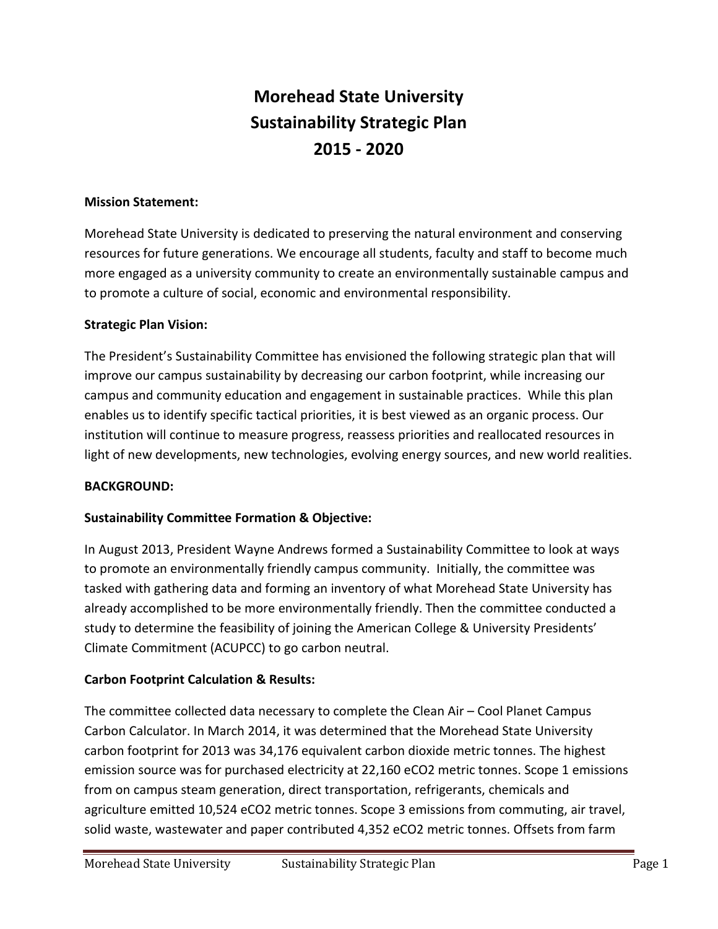# **Morehead State University Sustainability Strategic Plan 2015 - 2020**

#### **Mission Statement:**

Morehead State University is dedicated to preserving the natural environment and conserving resources for future generations. We encourage all students, faculty and staff to become much more engaged as a university community to create an environmentally sustainable campus and to promote a culture of social, economic and environmental responsibility.

#### **Strategic Plan Vision:**

The President's Sustainability Committee has envisioned the following strategic plan that will improve our campus sustainability by decreasing our carbon footprint, while increasing our campus and community education and engagement in sustainable practices. While this plan enables us to identify specific tactical priorities, it is best viewed as an organic process. Our institution will continue to measure progress, reassess priorities and reallocated resources in light of new developments, new technologies, evolving energy sources, and new world realities.

#### **BACKGROUND:**

#### **Sustainability Committee Formation & Objective:**

In August 2013, President Wayne Andrews formed a Sustainability Committee to look at ways to promote an environmentally friendly campus community. Initially, the committee was tasked with gathering data and forming an inventory of what Morehead State University has already accomplished to be more environmentally friendly. Then the committee conducted a study to determine the feasibility of joining the American College & University Presidents' Climate Commitment (ACUPCC) to go carbon neutral.

#### **Carbon Footprint Calculation & Results:**

The committee collected data necessary to complete the Clean Air – Cool Planet Campus Carbon Calculator. In March 2014, it was determined that the Morehead State University carbon footprint for 2013 was 34,176 equivalent carbon dioxide metric tonnes. The highest emission source was for purchased electricity at 22,160 eCO2 metric tonnes. Scope 1 emissions from on campus steam generation, direct transportation, refrigerants, chemicals and agriculture emitted 10,524 eCO2 metric tonnes. Scope 3 emissions from commuting, air travel, solid waste, wastewater and paper contributed 4,352 eCO2 metric tonnes. Offsets from farm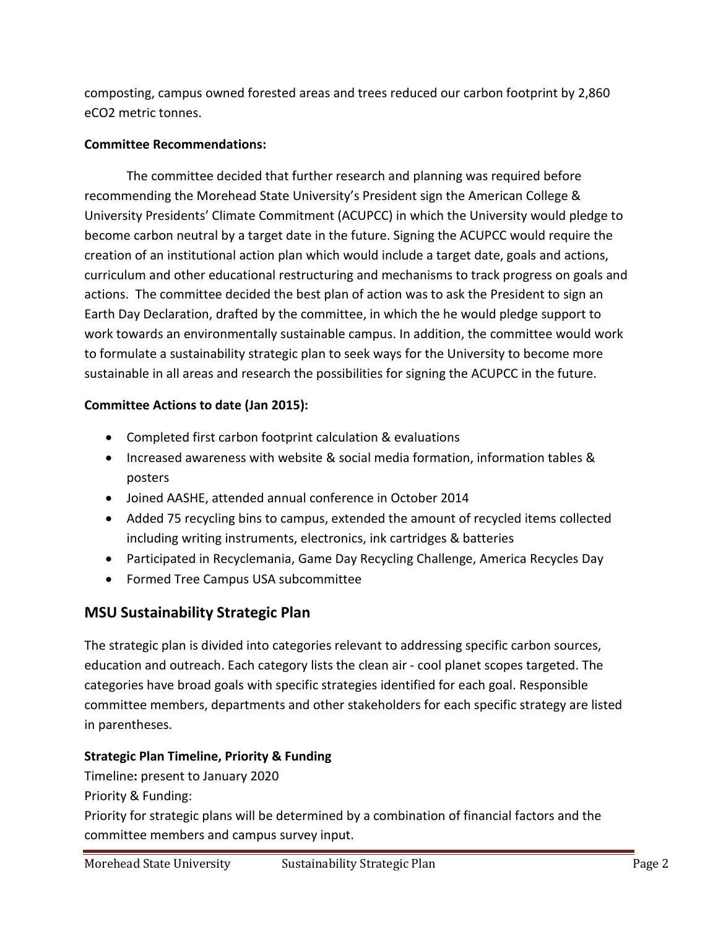composting, campus owned forested areas and trees reduced our carbon footprint by 2,860 eCO2 metric tonnes.

### **Committee Recommendations:**

The committee decided that further research and planning was required before recommending the Morehead State University's President sign the American College & University Presidents' Climate Commitment (ACUPCC) in which the University would pledge to become carbon neutral by a target date in the future. Signing the ACUPCC would require the creation of an institutional action plan which would include a target date, goals and actions, curriculum and other educational restructuring and mechanisms to track progress on goals and actions. The committee decided the best plan of action was to ask the President to sign an Earth Day Declaration, drafted by the committee, in which the he would pledge support to work towards an environmentally sustainable campus. In addition, the committee would work to formulate a sustainability strategic plan to seek ways for the University to become more sustainable in all areas and research the possibilities for signing the ACUPCC in the future.

# **Committee Actions to date (Jan 2015):**

- Completed first carbon footprint calculation & evaluations
- Increased awareness with website & social media formation, information tables & posters
- Joined AASHE, attended annual conference in October 2014
- Added 75 recycling bins to campus, extended the amount of recycled items collected including writing instruments, electronics, ink cartridges & batteries
- Participated in Recyclemania, Game Day Recycling Challenge, America Recycles Day
- Formed Tree Campus USA subcommittee

# **MSU Sustainability Strategic Plan**

The strategic plan is divided into categories relevant to addressing specific carbon sources, education and outreach. Each category lists the clean air - cool planet scopes targeted. The categories have broad goals with specific strategies identified for each goal. Responsible committee members, departments and other stakeholders for each specific strategy are listed in parentheses.

# **Strategic Plan Timeline, Priority & Funding**

Timeline**:** present to January 2020

Priority & Funding:

Priority for strategic plans will be determined by a combination of financial factors and the committee members and campus survey input.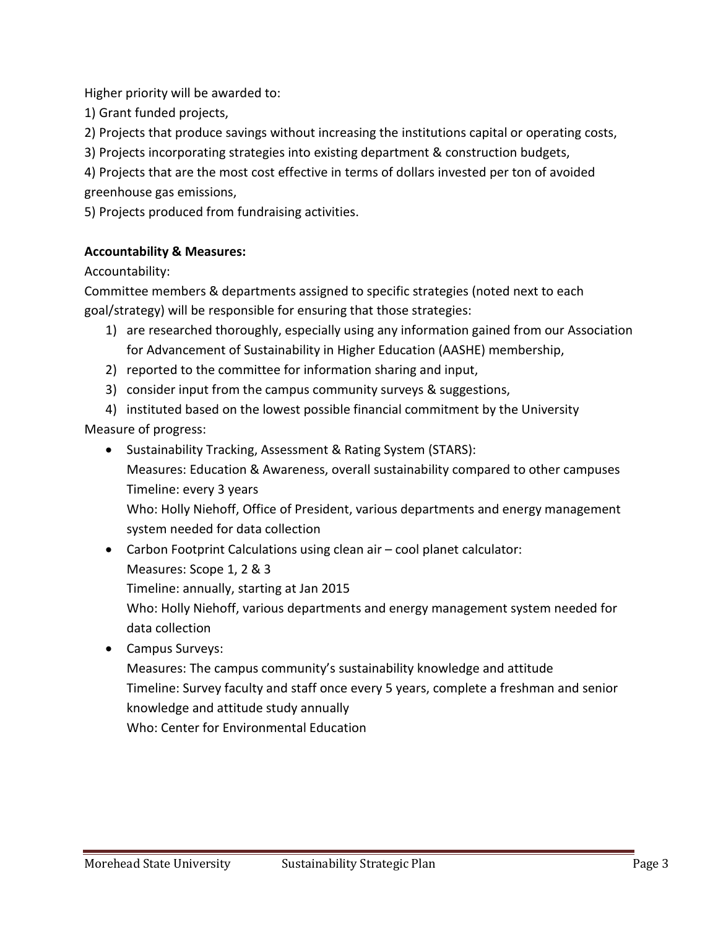Higher priority will be awarded to:

1) Grant funded projects,

2) Projects that produce savings without increasing the institutions capital or operating costs,

3) Projects incorporating strategies into existing department & construction budgets,

4) Projects that are the most cost effective in terms of dollars invested per ton of avoided greenhouse gas emissions,

5) Projects produced from fundraising activities.

#### **Accountability & Measures:**

Accountability:

Committee members & departments assigned to specific strategies (noted next to each goal/strategy) will be responsible for ensuring that those strategies:

- 1) are researched thoroughly, especially using any information gained from our Association for Advancement of Sustainability in Higher Education (AASHE) membership,
- 2) reported to the committee for information sharing and input,
- 3) consider input from the campus community surveys & suggestions,

4) instituted based on the lowest possible financial commitment by the University Measure of progress:

• Sustainability Tracking, Assessment & Rating System (STARS):

Measures: Education & Awareness, overall sustainability compared to other campuses Timeline: every 3 years

Who: Holly Niehoff, Office of President, various departments and energy management system needed for data collection

- Carbon Footprint Calculations using clean air cool planet calculator:
	- Measures: Scope 1, 2 & 3

Timeline: annually, starting at Jan 2015

Who: Holly Niehoff, various departments and energy management system needed for data collection

• Campus Surveys:

Measures: The campus community's sustainability knowledge and attitude Timeline: Survey faculty and staff once every 5 years, complete a freshman and senior knowledge and attitude study annually Who: Center for Environmental Education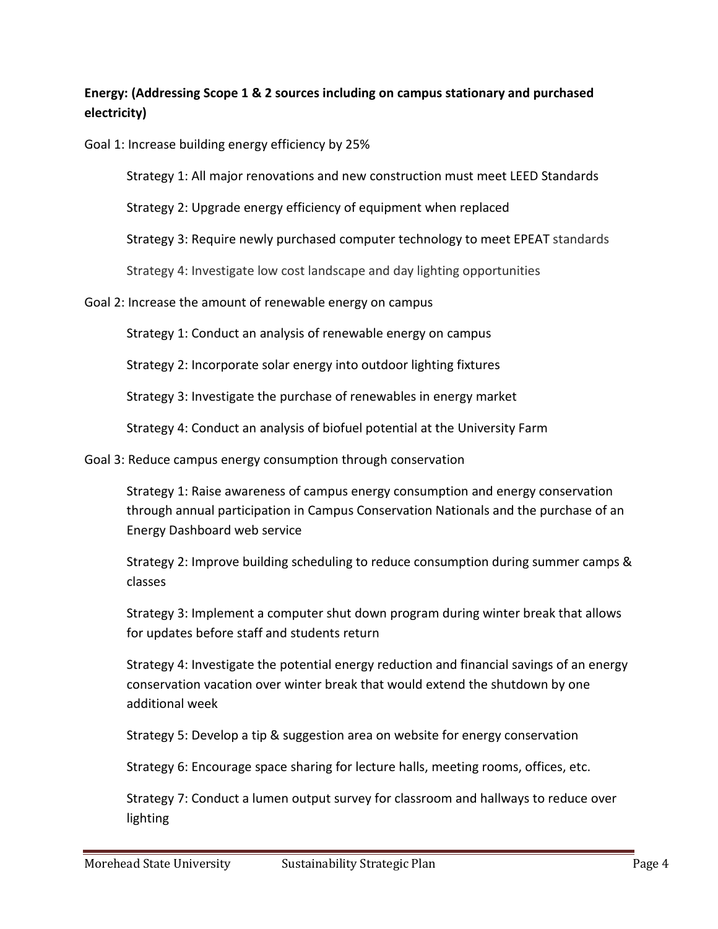# **Energy: (Addressing Scope 1 & 2 sources including on campus stationary and purchased electricity)**

Goal 1: Increase building energy efficiency by 25%

Strategy 1: All major renovations and new construction must meet LEED Standards

Strategy 2: Upgrade energy efficiency of equipment when replaced

Strategy 3: Require newly purchased computer technology to meet EPEAT standards

Strategy 4: Investigate low cost landscape and day lighting opportunities

Goal 2: Increase the amount of renewable energy on campus

Strategy 1: Conduct an analysis of renewable energy on campus

Strategy 2: Incorporate solar energy into outdoor lighting fixtures

Strategy 3: Investigate the purchase of renewables in energy market

Strategy 4: Conduct an analysis of biofuel potential at the University Farm

Goal 3: Reduce campus energy consumption through conservation

Strategy 1: Raise awareness of campus energy consumption and energy conservation through annual participation in Campus Conservation Nationals and the purchase of an Energy Dashboard web service

Strategy 2: Improve building scheduling to reduce consumption during summer camps & classes

Strategy 3: Implement a computer shut down program during winter break that allows for updates before staff and students return

Strategy 4: Investigate the potential energy reduction and financial savings of an energy conservation vacation over winter break that would extend the shutdown by one additional week

Strategy 5: Develop a tip & suggestion area on website for energy conservation

Strategy 6: Encourage space sharing for lecture halls, meeting rooms, offices, etc.

Strategy 7: Conduct a lumen output survey for classroom and hallways to reduce over lighting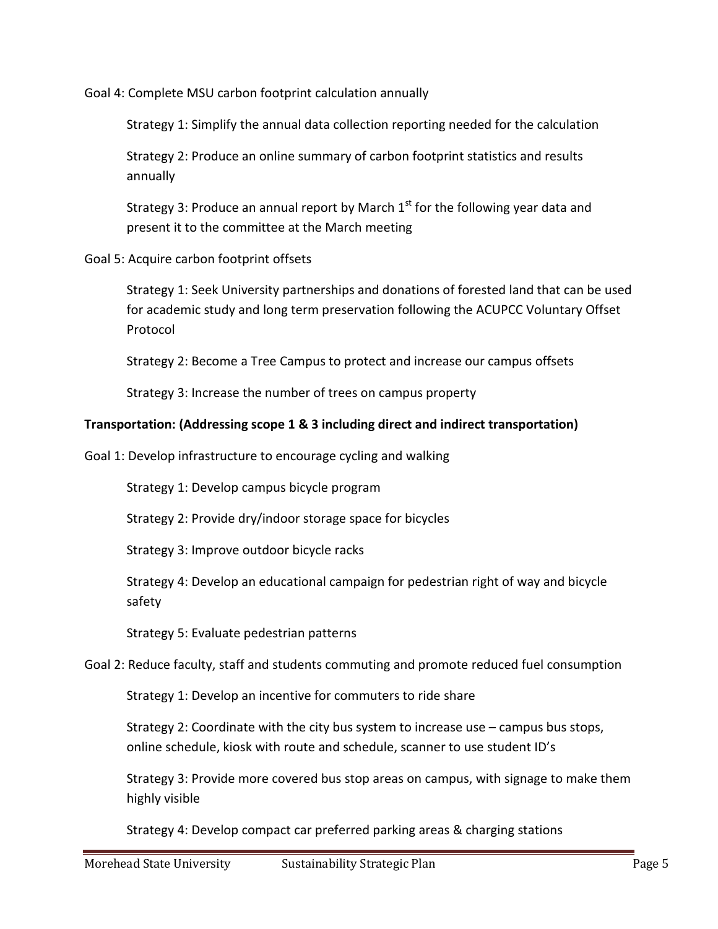Goal 4: Complete MSU carbon footprint calculation annually

Strategy 1: Simplify the annual data collection reporting needed for the calculation

Strategy 2: Produce an online summary of carbon footprint statistics and results annually

Strategy 3: Produce an annual report by March  $1<sup>st</sup>$  for the following year data and present it to the committee at the March meeting

Goal 5: Acquire carbon footprint offsets

Strategy 1: Seek University partnerships and donations of forested land that can be used for academic study and long term preservation following the ACUPCC Voluntary Offset Protocol

Strategy 2: Become a Tree Campus to protect and increase our campus offsets

Strategy 3: Increase the number of trees on campus property

#### **Transportation: (Addressing scope 1 & 3 including direct and indirect transportation)**

Goal 1: Develop infrastructure to encourage cycling and walking

Strategy 1: Develop campus bicycle program

Strategy 2: Provide dry/indoor storage space for bicycles

Strategy 3: Improve outdoor bicycle racks

Strategy 4: Develop an educational campaign for pedestrian right of way and bicycle safety

Strategy 5: Evaluate pedestrian patterns

Goal 2: Reduce faculty, staff and students commuting and promote reduced fuel consumption

Strategy 1: Develop an incentive for commuters to ride share

Strategy 2: Coordinate with the city bus system to increase use – campus bus stops, online schedule, kiosk with route and schedule, scanner to use student ID's

Strategy 3: Provide more covered bus stop areas on campus, with signage to make them highly visible

Strategy 4: Develop compact car preferred parking areas & charging stations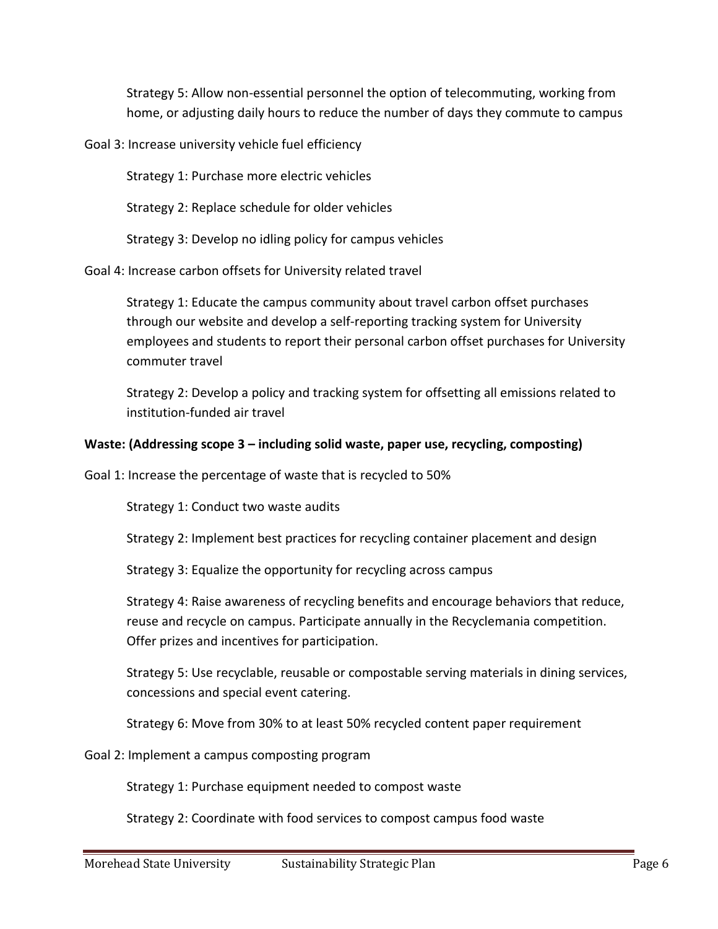Strategy 5: Allow non-essential personnel the option of telecommuting, working from home, or adjusting daily hours to reduce the number of days they commute to campus

Goal 3: Increase university vehicle fuel efficiency

Strategy 1: Purchase more electric vehicles

Strategy 2: Replace schedule for older vehicles

Strategy 3: Develop no idling policy for campus vehicles

Goal 4: Increase carbon offsets for University related travel

Strategy 1: Educate the campus community about travel carbon offset purchases through our website and develop a self-reporting tracking system for University employees and students to report their personal carbon offset purchases for University commuter travel

Strategy 2: Develop a policy and tracking system for offsetting all emissions related to institution-funded air travel

#### **Waste: (Addressing scope 3 – including solid waste, paper use, recycling, composting)**

Goal 1: Increase the percentage of waste that is recycled to 50%

Strategy 1: Conduct two waste audits

Strategy 2: Implement best practices for recycling container placement and design

Strategy 3: Equalize the opportunity for recycling across campus

Strategy 4: Raise awareness of recycling benefits and encourage behaviors that reduce, reuse and recycle on campus. Participate annually in the Recyclemania competition. Offer prizes and incentives for participation.

Strategy 5: Use recyclable, reusable or compostable serving materials in dining services, concessions and special event catering.

Strategy 6: Move from 30% to at least 50% recycled content paper requirement

Goal 2: Implement a campus composting program

Strategy 1: Purchase equipment needed to compost waste

Strategy 2: Coordinate with food services to compost campus food waste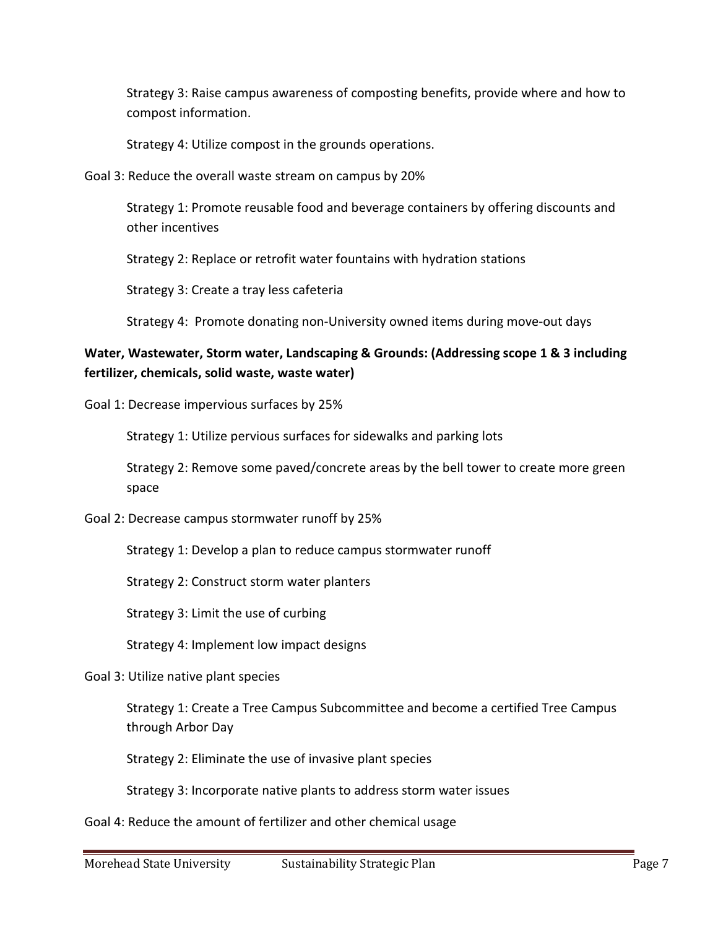Strategy 3: Raise campus awareness of composting benefits, provide where and how to compost information.

Strategy 4: Utilize compost in the grounds operations.

Goal 3: Reduce the overall waste stream on campus by 20%

Strategy 1: Promote reusable food and beverage containers by offering discounts and other incentives

Strategy 2: Replace or retrofit water fountains with hydration stations

Strategy 3: Create a tray less cafeteria

Strategy 4: Promote donating non-University owned items during move-out days

### **Water, Wastewater, Storm water, Landscaping & Grounds: (Addressing scope 1 & 3 including fertilizer, chemicals, solid waste, waste water)**

Goal 1: Decrease impervious surfaces by 25%

Strategy 1: Utilize pervious surfaces for sidewalks and parking lots

Strategy 2: Remove some paved/concrete areas by the bell tower to create more green space

Goal 2: Decrease campus stormwater runoff by 25%

Strategy 1: Develop a plan to reduce campus stormwater runoff

Strategy 2: Construct storm water planters

Strategy 3: Limit the use of curbing

Strategy 4: Implement low impact designs

#### Goal 3: Utilize native plant species

Strategy 1: Create a Tree Campus Subcommittee and become a certified Tree Campus through Arbor Day

Strategy 2: Eliminate the use of invasive plant species

Strategy 3: Incorporate native plants to address storm water issues

Goal 4: Reduce the amount of fertilizer and other chemical usage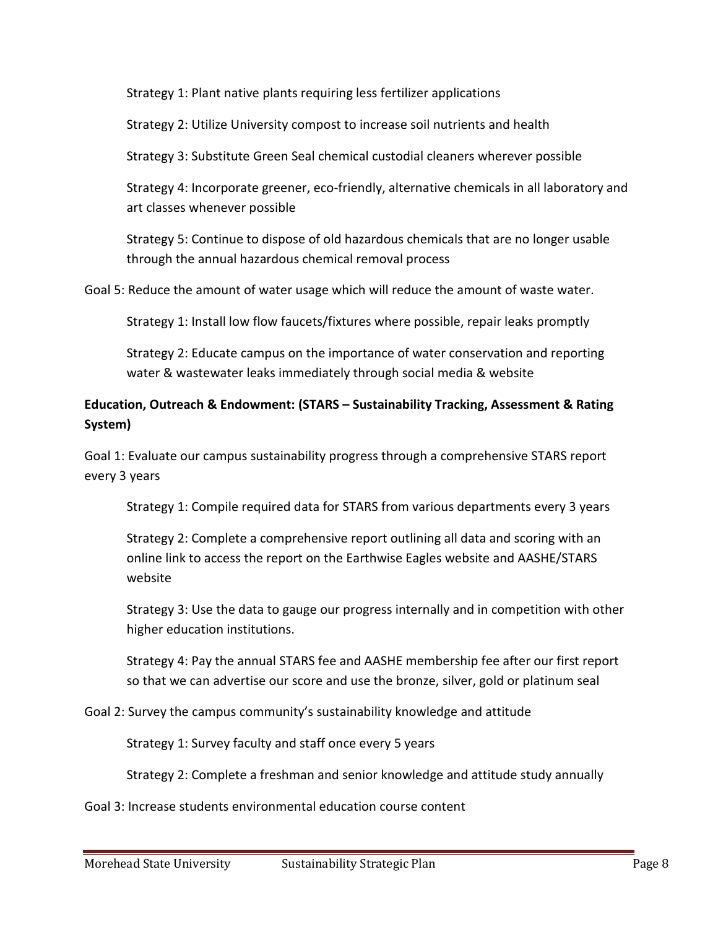Strategy 1: Plant native plants requiring less fertilizer applications

Strategy 2: Utilize University compost to increase soil nutrients and health

Strategy 3: Substitute Green Seal chemical custodial cleaners wherever possible

Strategy 4: Incorporate greener, eco-friendly, alternative chemicals in all laboratory and art classes whenever possible

Strategy 5: Continue to dispose of old hazardous chemicals that are no longer usable through the annual hazardous chemical removal process

Goal 5: Reduce the amount of water usage which will reduce the amount of waste water.

Strategy 1: Install low flow faucets/fixtures where possible, repair leaks promptly

Strategy 2: Educate campus on the importance of water conservation and reporting water & wastewater leaks immediately through social media & website

# **Education, Outreach & Endowment: (STARS – Sustainability Tracking, Assessment & Rating System)**

Goal 1: Evaluate our campus sustainability progress through a comprehensive STARS report every 3 years

Strategy 1: Compile required data for STARS from various departments every 3 years

Strategy 2: Complete a comprehensive report outlining all data and scoring with an online link to access the report on the Earthwise Eagles website and AASHE/STARS website

Strategy 3: Use the data to gauge our progress internally and in competition with other higher education institutions.

Strategy 4: Pay the annual STARS fee and AASHE membership fee after our first report so that we can advertise our score and use the bronze, silver, gold or platinum seal

Goal 2: Survey the campus community's sustainability knowledge and attitude

Strategy 1: Survey faculty and staff once every 5 years

Strategy 2: Complete a freshman and senior knowledge and attitude study annually

Goal 3: Increase students environmental education course content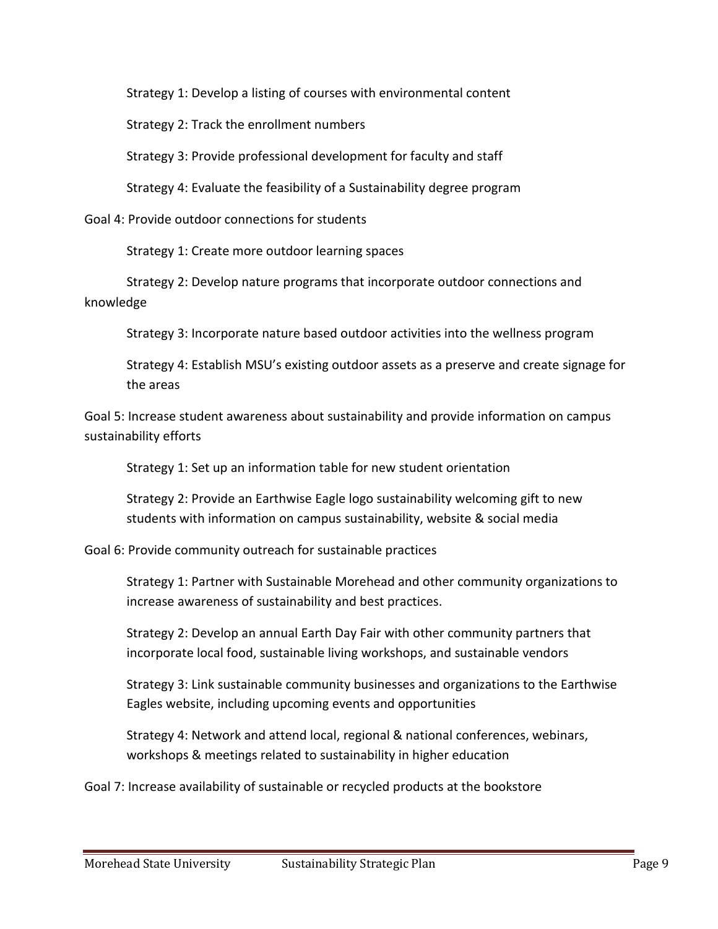Strategy 1: Develop a listing of courses with environmental content

Strategy 2: Track the enrollment numbers

Strategy 3: Provide professional development for faculty and staff

Strategy 4: Evaluate the feasibility of a Sustainability degree program

Goal 4: Provide outdoor connections for students

Strategy 1: Create more outdoor learning spaces

Strategy 2: Develop nature programs that incorporate outdoor connections and knowledge

Strategy 3: Incorporate nature based outdoor activities into the wellness program

Strategy 4: Establish MSU's existing outdoor assets as a preserve and create signage for the areas

Goal 5: Increase student awareness about sustainability and provide information on campus sustainability efforts

Strategy 1: Set up an information table for new student orientation

Strategy 2: Provide an Earthwise Eagle logo sustainability welcoming gift to new students with information on campus sustainability, website & social media

Goal 6: Provide community outreach for sustainable practices

Strategy 1: Partner with Sustainable Morehead and other community organizations to increase awareness of sustainability and best practices.

Strategy 2: Develop an annual Earth Day Fair with other community partners that incorporate local food, sustainable living workshops, and sustainable vendors

Strategy 3: Link sustainable community businesses and organizations to the Earthwise Eagles website, including upcoming events and opportunities

Strategy 4: Network and attend local, regional & national conferences, webinars, workshops & meetings related to sustainability in higher education

Goal 7: Increase availability of sustainable or recycled products at the bookstore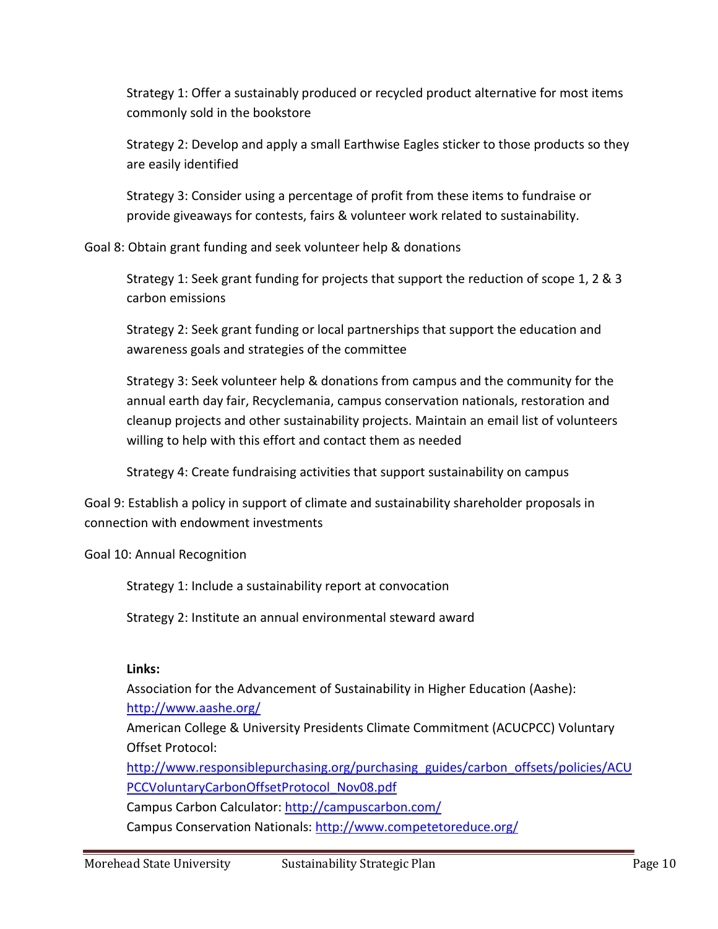Strategy 1: Offer a sustainably produced or recycled product alternative for most items commonly sold in the bookstore

Strategy 2: Develop and apply a small Earthwise Eagles sticker to those products so they are easily identified

Strategy 3: Consider using a percentage of profit from these items to fundraise or provide giveaways for contests, fairs & volunteer work related to sustainability.

Goal 8: Obtain grant funding and seek volunteer help & donations

Strategy 1: Seek grant funding for projects that support the reduction of scope 1, 2 & 3 carbon emissions

Strategy 2: Seek grant funding or local partnerships that support the education and awareness goals and strategies of the committee

Strategy 3: Seek volunteer help & donations from campus and the community for the annual earth day fair, Recyclemania, campus conservation nationals, restoration and cleanup projects and other sustainability projects. Maintain an email list of volunteers willing to help with this effort and contact them as needed

Strategy 4: Create fundraising activities that support sustainability on campus

Goal 9: Establish a policy in support of climate and sustainability shareholder proposals in connection with endowment investments

Goal 10: Annual Recognition

Strategy 1: Include a sustainability report at convocation

Strategy 2: Institute an annual environmental steward award

# **Links:**

Association for the Advancement of Sustainability in Higher Education (Aashe):

<http://www.aashe.org/>

American College & University Presidents Climate Commitment (ACUCPCC) Voluntary Offset Protocol:

[http://www.responsiblepurchasing.org/purchasing\\_guides/carbon\\_offsets/policies/ACU](http://www.responsiblepurchasing.org/purchasing_guides/carbon_offsets/policies/ACUPCCVoluntaryCarbonOffsetProtocol_Nov08.pdf) [PCCVoluntaryCarbonOffsetProtocol\\_Nov08.pdf](http://www.responsiblepurchasing.org/purchasing_guides/carbon_offsets/policies/ACUPCCVoluntaryCarbonOffsetProtocol_Nov08.pdf)

Campus Carbon Calculator:<http://campuscarbon.com/>

Campus Conservation Nationals:<http://www.competetoreduce.org/>